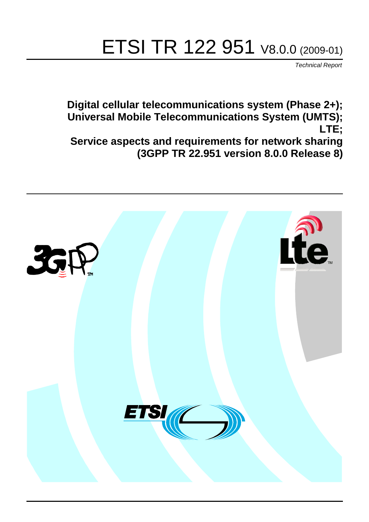# ETSI TR 122 951 V8.0.0 (2009-01)

*Technical Report*

**Digital cellular telecommunications system (Phase 2+); Universal Mobile Telecommunications System (UMTS); LTE; Service aspects and requirements for network sharing (3GPP TR 22.951 version 8.0.0 Release 8)**

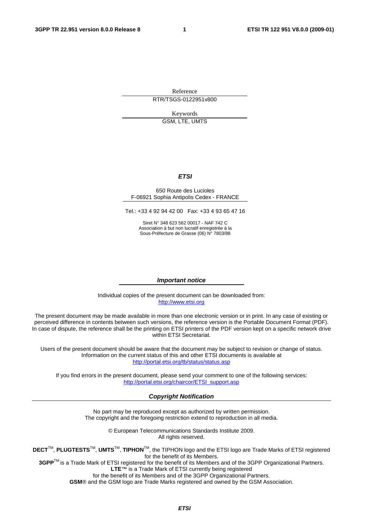Reference RTR/TSGS-0122951v800

> Keywords GSM, LTE, UMTS

#### *ETSI*

#### 650 Route des Lucioles F-06921 Sophia Antipolis Cedex - FRANCE

Tel.: +33 4 92 94 42 00 Fax: +33 4 93 65 47 16

Siret N° 348 623 562 00017 - NAF 742 C Association à but non lucratif enregistrée à la Sous-Préfecture de Grasse (06) N° 7803/88

#### *Important notice*

Individual copies of the present document can be downloaded from: [http://www.etsi.org](http://www.etsi.org/)

The present document may be made available in more than one electronic version or in print. In any case of existing or perceived difference in contents between such versions, the reference version is the Portable Document Format (PDF). In case of dispute, the reference shall be the printing on ETSI printers of the PDF version kept on a specific network drive within ETSI Secretariat.

Users of the present document should be aware that the document may be subject to revision or change of status. Information on the current status of this and other ETSI documents is available at <http://portal.etsi.org/tb/status/status.asp>

If you find errors in the present document, please send your comment to one of the following services: [http://portal.etsi.org/chaircor/ETSI\\_support.asp](http://portal.etsi.org/chaircor/ETSI_support.asp)

#### *Copyright Notification*

No part may be reproduced except as authorized by written permission. The copyright and the foregoing restriction extend to reproduction in all media.

> © European Telecommunications Standards Institute 2009. All rights reserved.

**DECT**TM, **PLUGTESTS**TM, **UMTS**TM, **TIPHON**TM, the TIPHON logo and the ETSI logo are Trade Marks of ETSI registered for the benefit of its Members.

**3GPP**TM is a Trade Mark of ETSI registered for the benefit of its Members and of the 3GPP Organizational Partners. **LTE**™ is a Trade Mark of ETSI currently being registered

for the benefit of its Members and of the 3GPP Organizational Partners.

**GSM**® and the GSM logo are Trade Marks registered and owned by the GSM Association.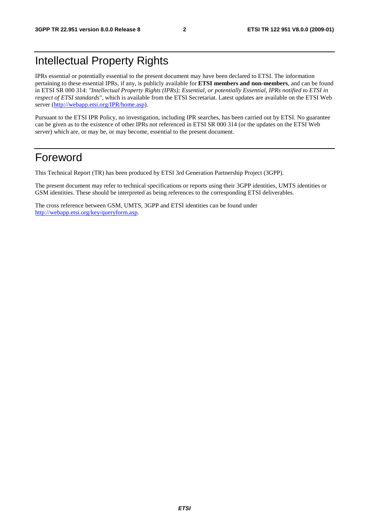### Intellectual Property Rights

IPRs essential or potentially essential to the present document may have been declared to ETSI. The information pertaining to these essential IPRs, if any, is publicly available for **ETSI members and non-members**, and can be found in ETSI SR 000 314: *"Intellectual Property Rights (IPRs); Essential, or potentially Essential, IPRs notified to ETSI in respect of ETSI standards"*, which is available from the ETSI Secretariat. Latest updates are available on the ETSI Web server [\(http://webapp.etsi.org/IPR/home.asp\)](http://webapp.etsi.org/IPR/home.asp).

Pursuant to the ETSI IPR Policy, no investigation, including IPR searches, has been carried out by ETSI. No guarantee can be given as to the existence of other IPRs not referenced in ETSI SR 000 314 (or the updates on the ETSI Web server) which are, or may be, or may become, essential to the present document.

### Foreword

This Technical Report (TR) has been produced by ETSI 3rd Generation Partnership Project (3GPP).

The present document may refer to technical specifications or reports using their 3GPP identities, UMTS identities or GSM identities. These should be interpreted as being references to the corresponding ETSI deliverables.

The cross reference between GSM, UMTS, 3GPP and ETSI identities can be found under [http://webapp.etsi.org/key/queryform.asp.](http://webapp.etsi.org/key/queryform.asp)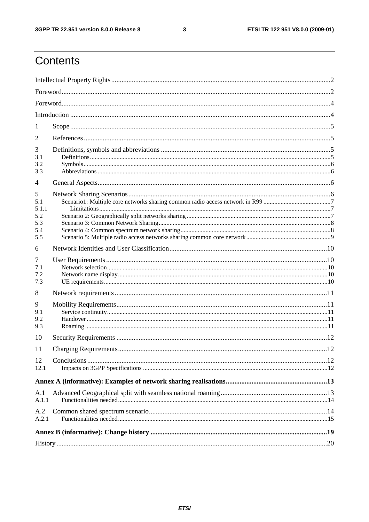#### $\mathbf{3}$

### Contents

| 1            |  |  |  |  |  |
|--------------|--|--|--|--|--|
| 2            |  |  |  |  |  |
| 3            |  |  |  |  |  |
| 3.1<br>3.2   |  |  |  |  |  |
| 3.3          |  |  |  |  |  |
| 4            |  |  |  |  |  |
| 5            |  |  |  |  |  |
| 5.1<br>5.1.1 |  |  |  |  |  |
| 5.2          |  |  |  |  |  |
| 5.3          |  |  |  |  |  |
| 5.4          |  |  |  |  |  |
| 5.5          |  |  |  |  |  |
| 6            |  |  |  |  |  |
| 7            |  |  |  |  |  |
| 7.1          |  |  |  |  |  |
| 7.2<br>7.3   |  |  |  |  |  |
|              |  |  |  |  |  |
| 8            |  |  |  |  |  |
| 9            |  |  |  |  |  |
| 9.1<br>9.2   |  |  |  |  |  |
| 9.3          |  |  |  |  |  |
| 10           |  |  |  |  |  |
| 11           |  |  |  |  |  |
| 12           |  |  |  |  |  |
| 12.1         |  |  |  |  |  |
|              |  |  |  |  |  |
| A.1          |  |  |  |  |  |
| A.1.1        |  |  |  |  |  |
| A.2          |  |  |  |  |  |
| A.2.1        |  |  |  |  |  |
|              |  |  |  |  |  |
|              |  |  |  |  |  |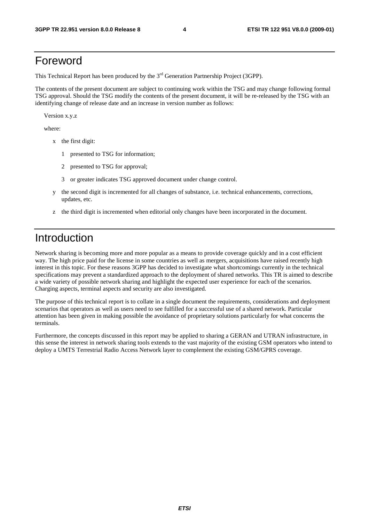### Foreword

This Technical Report has been produced by the  $3<sup>rd</sup>$  Generation Partnership Project (3GPP).

The contents of the present document are subject to continuing work within the TSG and may change following formal TSG approval. Should the TSG modify the contents of the present document, it will be re-released by the TSG with an identifying change of release date and an increase in version number as follows:

Version x.y.z

where:

- x the first digit:
	- 1 presented to TSG for information;
	- 2 presented to TSG for approval;
	- 3 or greater indicates TSG approved document under change control.
- y the second digit is incremented for all changes of substance, i.e. technical enhancements, corrections, updates, etc.
- z the third digit is incremented when editorial only changes have been incorporated in the document.

### Introduction

Network sharing is becoming more and more popular as a means to provide coverage quickly and in a cost efficient way. The high price paid for the license in some countries as well as mergers, acquisitions have raised recently high interest in this topic. For these reasons 3GPP has decided to investigate what shortcomings currently in the technical specifications may prevent a standardized approach to the deployment of shared networks. This TR is aimed to describe a wide variety of possible network sharing and highlight the expected user experience for each of the scenarios. Charging aspects, terminal aspects and security are also investigated.

The purpose of this technical report is to collate in a single document the requirements, considerations and deployment scenarios that operators as well as users need to see fulfilled for a successful use of a shared network. Particular attention has been given in making possible the avoidance of proprietary solutions particularly for what concerns the terminals.

Furthermore, the concepts discussed in this report may be applied to sharing a GERAN and UTRAN infrastructure, in this sense the interest in network sharing tools extends to the vast majority of the existing GSM operators who intend to deploy a UMTS Terrestrial Radio Access Network layer to complement the existing GSM/GPRS coverage.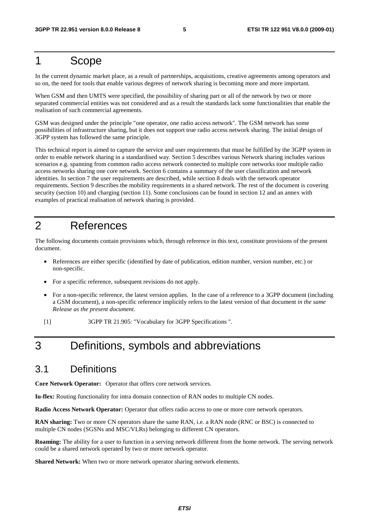#### 1 Scope

In the current dynamic market place, as a result of partnerships, acquisitions, creative agreements among operators and so on, the need for tools that enable various degrees of network sharing is becoming more and more important.

When GSM and then UMTS were specified, the possibility of sharing part or all of the network by two or more separated commercial entities was not considered and as a result the standards lack some functionalities that enable the realisation of such commercial agreements.

GSM was designed under the principle "one operator, one radio access network". The GSM network has some possibilities of infrastructure sharing, but it does not support true radio access network sharing. The initial design of 3GPP system has followed the same principle.

This technical report is aimed to capture the service and user requirements that must be fulfilled by the 3GPP system in order to enable network sharing in a standardised way. Section 5 describes various Network sharing includes various scenarios e.g. spanning from common radio access network connected to multiple core networks toor multiple radio access networks sharing one core network. Section 6 contains a summary of the user classification and network identities. In section 7 the user requirements are described, while section 8 deals with the network operator requirements. Section 9 describes the mobility requirements in a shared network. The rest of the document is covering security (section 10) and charging (section 11). Some conclusions can be found in section 12 and an annex with examples of practical realisation of network sharing is provided.

#### 2 References

The following documents contain provisions which, through reference in this text, constitute provisions of the present document.

- References are either specific (identified by date of publication, edition number, version number, etc.) or non-specific.
- For a specific reference, subsequent revisions do not apply.
- For a non-specific reference, the latest version applies. In the case of a reference to a 3GPP document (including a GSM document), a non-specific reference implicitly refers to the latest version of that document *in the same Release as the present document*.

[1] 3GPP TR 21.905: "Vocabulary for 3GPP Specifications ".

### 3 Definitions, symbols and abbreviations

#### 3.1 Definitions

**Core Network Operator:** Operator that offers core network services.

**Iu-flex:** Routing functionality for intra domain connection of RAN nodes to multiple CN nodes.

**Radio Access Network Operator:** Operator that offers radio access to one or more core network operators.

**RAN sharing:** Two or more CN operators share the same RAN, i.e. a RAN node (RNC or BSC) is connected to multiple CN nodes (SGSNs and MSC/VLRs) belonging to different CN operators.

**Roaming:** The ability for a user to function in a serving network different from the home network. The serving network could be a shared network operated by two or more network operator.

**Shared Network:** When two or more network operator sharing network elements.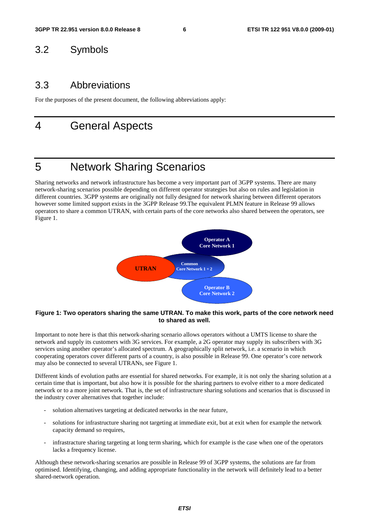#### 3.2 Symbols

#### 3.3 Abbreviations

For the purposes of the present document, the following abbreviations apply:

#### 4 General Aspects

### 5 Network Sharing Scenarios

Sharing networks and network infrastructure has become a very important part of 3GPP systems. There are many network-sharing scenarios possible depending on different operator strategies but also on rules and legislation in different countries. 3GPP systems are originally not fully designed for network sharing between different operators however some limited support exists in the 3GPP Release 99.The equivalent PLMN feature in Release 99 allows operators to share a common UTRAN, with certain parts of the core networks also shared between the operators, see Figure 1.



#### **Figure 1: Two operators sharing the same UTRAN. To make this work, parts of the core network need to shared as well.**

Important to note here is that this network-sharing scenario allows operators without a UMTS license to share the network and supply its customers with 3G services. For example, a 2G operator may supply its subscribers with 3G services using another operator's allocated spectrum. A geographically split network, i.e. a scenario in which cooperating operators cover different parts of a country, is also possible in Release 99. One operator's core network may also be connected to several UTRANs, see Figure 1.

Different kinds of evolution paths are essential for shared networks. For example, it is not only the sharing solution at a certain time that is important, but also how it is possible for the sharing partners to evolve either to a more dedicated network or to a more joint network. That is, the set of infrastructure sharing solutions and scenarios that is discussed in the industry cover alternatives that together include:

- solution alternatives targeting at dedicated networks in the near future,
- solutions for infrastructure sharing not targeting at immediate exit, but at exit when for example the network capacity demand so requires,
- infrastracture sharing targeting at long term sharing, which for example is the case when one of the operators lacks a frequency license.

Although these network-sharing scenarios are possible in Release 99 of 3GPP systems, the solutions are far from optimised. Identifying, changing, and adding appropriate functionality in the network will definitely lead to a better shared-network operation.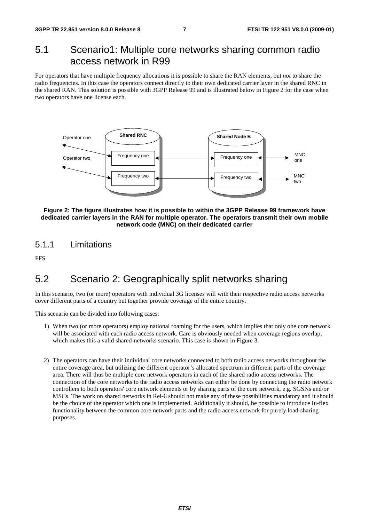#### 5.1 Scenario1: Multiple core networks sharing common radio access network in R99

For operators that have multiple frequency allocations it is possible to share the RAN elements, but *not* to share the radio frequencies. In this case the operators connect directly to their own dedicated carrier layer in the shared RNC in the shared RAN. This solution is possible with 3GPP Release 99 and is illustrated below in Figure 2 for the case when two operators have one license each.



**Figure 2: The figure illustrates how it is possible to within the 3GPP Release 99 framework have dedicated carrier layers in the RAN for multiple operator. The operators transmit their own mobile network code (MNC) on their dedicated carrier** 

#### 5.1.1 Limitations

**FFS** 

### 5.2 Scenario 2: Geographically split networks sharing

In this scenario, two (or more) operators with individual 3G licenses will with their respective radio access networks cover different parts of a country but together provide coverage of the entire country.

This scenario can be divided into following cases:

- 1) When two (or more operators) employ national roaming for the users, which implies that only one core network will be associated with each radio access network. Care is obviously needed when coverage regions overlap, which makes this a valid shared-networks scenario. This case is shown in Figure 3.
- 2) The operators can have their individual core networks connected to both radio access networks throughout the entire coverage area, but utilizing the different operator's allocated spectrum in different parts of the coverage area. There will thus be multiple core network operators in each of the shared radio access networks. The connection of the core networks to the radio access networks can either be done by connecting the radio network controllers to both operators' core network elements or by sharing parts of the core network, e.g. SGSNs and/or MSCs. The work on shared networks in Rel-6 should not make any of these possibilities mandatory and it should be the choice of the operator which one is implemented. Additionally it should, be possible to introduce Iu-flex functionality between the common core network parts and the radio access network for purely load-sharing purposes.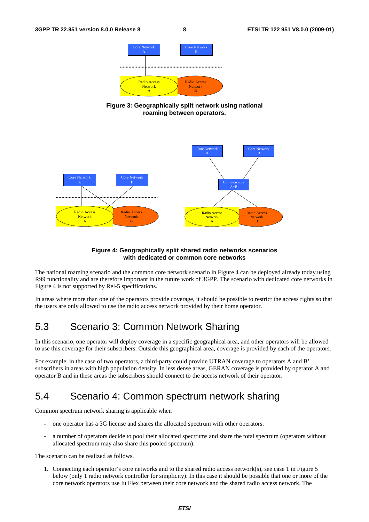

**Figure 3: Geographically split network using national roaming between operators.** 



#### **Figure 4: Geographically split shared radio networks scenarios with dedicated or common core networks**

The national roaming scenario and the common core network scenario in Figure 4 can be deployed already today using R99 functionality and are therefore important in the future work of 3GPP. The scenario with dedicated core networks in Figure 4 is not supported by Rel-5 specifications.

In areas where more than one of the operators provide coverage, it should be possible to restrict the access rights so that the users are only allowed to use the radio access network provided by their home operator.

### 5.3 Scenario 3: Common Network Sharing

In this scenario, one operator will deploy coverage in a specific geographical area, and other operators will be allowed to use this coverage for their subscribers. Outside this geographical area, coverage is provided by each of the operators.

For example, in the case of two operators, a third-party could provide UTRAN coverage to operators A and B' subscribers in areas with high population density. In less dense areas, GERAN coverage is provided by operator A and operator B and in these areas the subscribers should connect to the access network of their operator.

#### 5.4 Scenario 4: Common spectrum network sharing

Common spectrum network sharing is applicable when

- one operator has a 3G license and shares the allocated spectrum with other operators.
- a number of operators decide to pool their allocated spectrums and share the total spectrum (operators without allocated spectrum may also share this pooled spectrum).

The scenario can be realized as follows.

1. Connecting each operator's core networks and to the shared radio access network(s), see case 1 in Figure 5 below (only 1 radio network controller for simplicity). In this case it should be possible that one or more of the core network operators use Iu Flex between their core network and the shared radio access network. The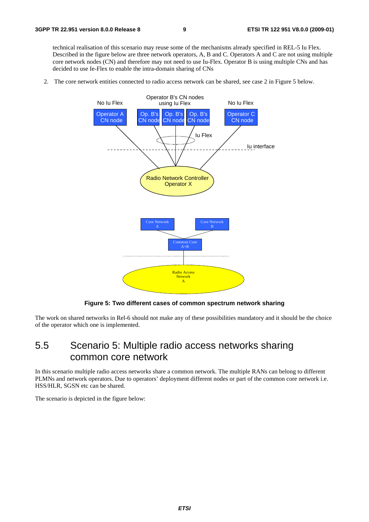technical realisation of this scenario may reuse some of the mechanisms already specified in REL-5 Iu Flex. Described in the figure below are three network operators, A, B and C. Operators A and C are not using multiple core network nodes (CN) and therefore may not need to use Iu-Flex. Operator B is using multiple CNs and has decided to use Ie-Flex to enable the intra-domain sharing of CNs

2. The core network entities connected to radio access network can be shared, see case 2 in Figure 5 below.



**Figure 5: Two different cases of common spectrum network sharing** 

The work on shared networks in Rel-6 should not make any of these possibilities mandatory and it should be the choice of the operator which one is implemented.

#### 5.5 Scenario 5: Multiple radio access networks sharing common core network

In this scenario multiple radio access networks share a common network. The multiple RANs can belong to different PLMNs and network operators. Due to operators' deployment different nodes or part of the common core network i.e. HSS/HLR, SGSN etc can be shared.

The scenario is depicted in the figure below: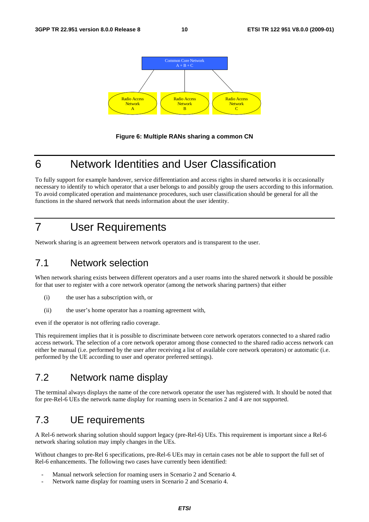



### 6 Network Identities and User Classification

To fully support for example handover, service differentiation and access rights in shared networks it is occasionally necessary to identify to which operator that a user belongs to and possibly group the users according to this information. To avoid complicated operation and maintenance procedures, such user classification should be general for all the functions in the shared network that needs information about the user identity.

### 7 User Requirements

Network sharing is an agreement between network operators and is transparent to the user.

#### 7.1 Network selection

When network sharing exists between different operators and a user roams into the shared network it should be possible for that user to register with a core network operator (among the network sharing partners) that either

- (i) the user has a subscription with, or
- (ii) the user's home operator has a roaming agreement with,

even if the operator is not offering radio coverage.

This requirement implies that it is possible to discriminate between core network operators connected to a shared radio access network. The selection of a core network operator among those connected to the shared radio access network can either be manual (i.e. performed by the user after receiving a list of available core network operators) or automatic (i.e. performed by the UE according to user and operator preferred settings).

### 7.2 Network name display

The terminal always displays the name of the core network operator the user has registered with. It should be noted that for pre-Rel-6 UEs the network name display for roaming users in Scenarios 2 and 4 are not supported.

#### 7.3 UE requirements

A Rel-6 network sharing solution should support legacy (pre-Rel-6) UEs. This requirement is important since a Rel-6 network sharing solution may imply changes in the UEs.

Without changes to pre-Rel 6 specifications, pre-Rel-6 UEs may in certain cases not be able to support the full set of Rel-6 enhancements. The following two cases have currently been identified:

- Manual network selection for roaming users in Scenario 2 and Scenario 4.
- Network name display for roaming users in Scenario 2 and Scenario 4.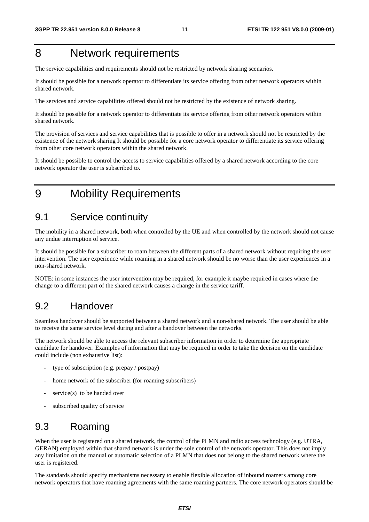### 8 Network requirements

The service capabilities and requirements should not be restricted by network sharing scenarios.

It should be possible for a network operator to differentiate its service offering from other network operators within shared network.

The services and service capabilities offered should not be restricted by the existence of network sharing.

It should be possible for a network operator to differentiate its service offering from other network operators within shared network.

The provision of services and service capabilities that is possible to offer in a network should not be restricted by the existence of the network sharing It should be possible for a core network operator to differentiate its service offering from other core network operators within the shared network.

It should be possible to control the access to service capabilities offered by a shared network according to the core network operator the user is subscribed to.

9 Mobility Requirements

#### 9.1 Service continuity

The mobility in a shared network, both when controlled by the UE and when controlled by the network should not cause any undue interruption of service.

It should be possible for a subscriber to roam between the different parts of a shared network without requiring the user intervention. The user experience while roaming in a shared network should be no worse than the user experiences in a non-shared network.

NOTE: in some instances the user intervention may be required, for example it maybe required in cases where the change to a different part of the shared network causes a change in the service tariff.

#### 9.2 Handover

Seamless handover should be supported between a shared network and a non-shared network. The user should be able to receive the same service level during and after a handover between the networks.

The network should be able to access the relevant subscriber information in order to determine the appropriate candidate for handover. Examples of information that may be required in order to take the decision on the candidate could include (non exhaustive list):

- type of subscription (e.g. prepay / postpay)
- home network of the subscriber (for roaming subscribers)
- $s$ ervice $(s)$  to be handed over
- subscribed quality of service

### 9.3 Roaming

When the user is registered on a shared network, the control of the PLMN and radio access technology (e.g. UTRA, GERAN) employed within that shared network is under the sole control of the network operator. This does not imply any limitation on the manual or automatic selection of a PLMN that does not belong to the shared network where the user is registered.

The standards should specify mechanisms necessary to enable flexible allocation of inbound roamers among core network operators that have roaming agreements with the same roaming partners. The core network operators should be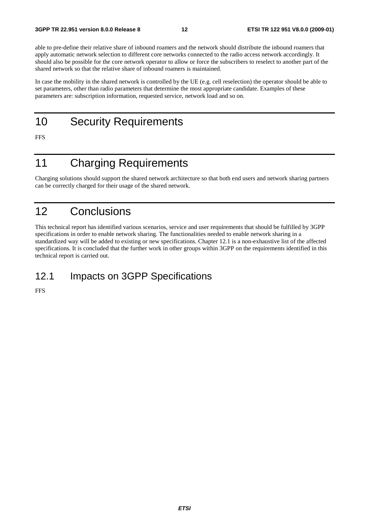able to pre-define their relative share of inbound roamers and the network should distribute the inbound roamers that apply automatic network selection to different core networks connected to the radio access network accordingly. It should also be possible for the core network operator to allow or force the subscribers to reselect to another part of the shared network so that the relative share of inbound roamers is maintained.

In case the mobility in the shared network is controlled by the UE (e.g. cell reselection) the operator should be able to set parameters, other than radio parameters that determine the most appropriate candidate. Examples of these parameters are: subscription information, requested service, network load and so on.

10 Security Requirements

FFS

### 11 Charging Requirements

Charging solutions should support the shared network architecture so that both end users and network sharing partners can be correctly charged for their usage of the shared network.

### 12 Conclusions

This technical report has identified various scenarios, service and user requirements that should be fulfilled by 3GPP specifications in order to enable network sharing. The functionalities needed to enable network sharing in a standardized way will be added to existing or new specifications. Chapter 12.1 is a non-exhaustive list of the affected specifications. It is concluded that the further work in other groups within 3GPP on the requirements identified in this technical report is carried out.

#### 12.1 Impacts on 3GPP Specifications

FFS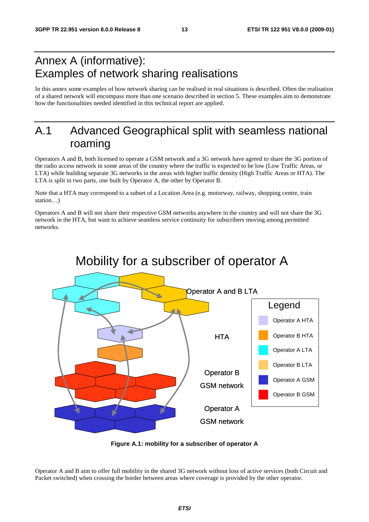### Annex A (informative): Examples of network sharing realisations

In this annex some examples of how network sharing can be realised in real situations is described. Often the realisation of a shared network will encompass more than one scenario described in section 5. These examples aim to demonstrate how the functionalities needed identified in this technical report are applied.

### A.1 Advanced Geographical split with seamless national roaming

Operators A and B, both licensed to operate a GSM network and a 3G network have agreed to share the 3G portion of the radio access network in some areas of the country where the traffic is expected to be low (Low Traffic Areas, or LTA) while building separate 3G networks in the areas with higher traffic density (High Traffic Areas or HTA). The LTA is split in two parts, one built by Operator A, the other by Operator B.

Note that a HTA may correspond to a subset of a Location Area (e.g. motorway, railway, shopping centre, train station…)

Operators A and B will not share their respective GSM networks anywhere in the country and will not share the 3G network in the HTA, but want to achieve seamless service continuity for subscribers moving among permitted networks.



### Mobility for a subscriber of operator A

**Figure A.1: mobility for a subscriber of operator A** 

Operator A and B aim to offer full mobility in the shared 3G network without loss of active services (both Circuit and Packet switched) when crossing the border between areas where coverage is provided by the other operator.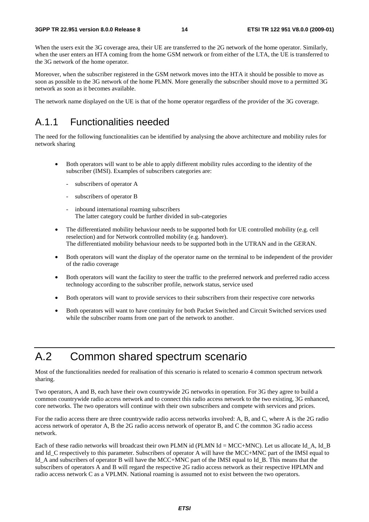When the users exit the 3G coverage area, their UE are transferred to the 2G network of the home operator. Similarly, when the user enters an HTA coming from the home GSM network or from either of the LTA, the UE is transferred to the 3G network of the home operator.

Moreover, when the subscriber registered in the GSM network moves into the HTA it should be possible to move as soon as possible to the 3G network of the home PLMN. More generally the subscriber should move to a permitted 3G network as soon as it becomes available.

The network name displayed on the UE is that of the home operator regardless of the provider of the 3G coverage.

#### A.1.1 Functionalities needed

The need for the following functionalities can be identified by analysing the above architecture and mobility rules for network sharing

- Both operators will want to be able to apply different mobility rules according to the identity of the subscriber (IMSI). Examples of subscribers categories are:
	- subscribers of operator A
	- subscribers of operator B
	- inbound international roaming subscribers The latter category could be further divided in sub-categories
- The differentiated mobility behaviour needs to be supported both for UE controlled mobility (e.g. cell reselection) and for Network controlled mobility (e.g. handover). The differentiated mobility behaviour needs to be supported both in the UTRAN and in the GERAN.
- Both operators will want the display of the operator name on the terminal to be independent of the provider of the radio coverage
- Both operators will want the facility to steer the traffic to the preferred network and preferred radio access technology according to the subscriber profile, network status, service used
- Both operators will want to provide services to their subscribers from their respective core networks
- Both operators will want to have continuity for both Packet Switched and Circuit Switched services used while the subscriber roams from one part of the network to another.

### A.2 Common shared spectrum scenario

Most of the functionalities needed for realisation of this scenario is related to scenario 4 common spectrum network sharing.

Two operators, A and B, each have their own countrywide 2G networks in operation. For 3G they agree to build a common countrywide radio access network and to connect this radio access network to the two existing, 3G enhanced, core networks. The two operators will continue with their own subscribers and compete with services and prices.

For the radio access there are three countrywide radio access networks involved: A, B, and C, where A is the 2G radio access network of operator A, B the 2G radio access network of operator B, and C the common 3G radio access network.

Each of these radio networks will broadcast their own PLMN id (PLMN Id = MCC+MNC). Let us allocate Id A, Id B and Id C respectively to this parameter. Subscribers of operator A will have the MCC+MNC part of the IMSI equal to Id\_A and subscribers of operator B will have the MCC+MNC part of the IMSI equal to Id\_B. This means that the subscribers of operators A and B will regard the respective 2G radio access network as their respective HPLMN and radio access network C as a VPLMN. National roaming is assumed not to exist between the two operators.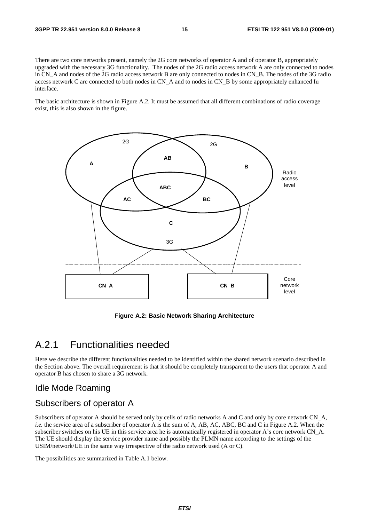There are two core networks present, namely the 2G core networks of operator A and of operator B, appropriately upgraded with the necessary 3G functionality. The nodes of the 2G radio access network A are only connected to nodes in CN\_A and nodes of the 2G radio access network B are only connected to nodes in CN\_B. The nodes of the 3G radio access network C are connected to both nodes in CN\_A and to nodes in CN\_B by some appropriately enhanced Iu interface.

The basic architecture is shown in Figure A.2. It must be assumed that all different combinations of radio coverage exist, this is also shown in the figure.



**Figure A.2: Basic Network Sharing Architecture** 

#### A.2.1 Functionalities needed

Here we describe the different functionalities needed to be identified within the shared network scenario described in the Section above. The overall requirement is that it should be completely transparent to the users that operator A and operator B has chosen to share a 3G network.

#### Idle Mode Roaming

#### Subscribers of operator A

Subscribers of operator A should be served only by cells of radio networks A and C and only by core network CN A, *i.e.* the service area of a subscriber of operator A is the sum of A, AB, AC, ABC, BC and C in Figure A.2. When the subscriber switches on his UE in this service area he is automatically registered in operator A's core network CN\_A. The UE should display the service provider name and possibly the PLMN name according to the settings of the USIM/network/UE in the same way irrespective of the radio network used (A or C).

The possibilities are summarized in Table A.1 below.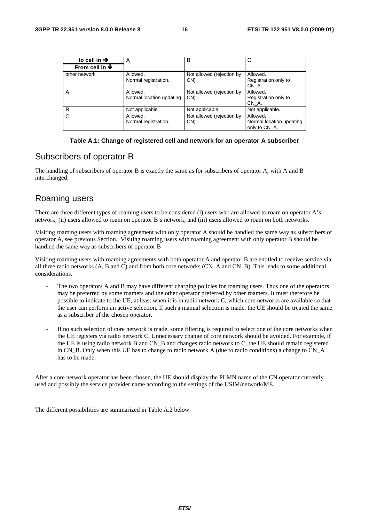| to cell in $\rightarrow$           | A                                     | B                                 | C                                                     |  |
|------------------------------------|---------------------------------------|-----------------------------------|-------------------------------------------------------|--|
| From cell in $\blacktriangleright$ |                                       |                                   |                                                       |  |
| other network                      | Allowed.<br>Normal registration.      | Not allowed (rejection by<br>CN). | Allowed.<br>Registration only to<br>CN A.             |  |
| Α                                  | Allowed.<br>Normal location updating. | Not allowed (rejection by<br>CN). | Allowed.<br>Registration only to<br>CN A.             |  |
| B                                  | Not applicable.                       | Not applicable.                   | Not applicable.                                       |  |
| C                                  | Allowed.<br>Normal registration.      | Not allowed (rejection by<br>CN). | Allowed.<br>Normal location updating<br>only to CN A. |  |

#### **Table A.1: Change of registered cell and network for an operator A subscriber**

#### Subscribers of operator B

The handling of subscribers of operator B is exactly the same as for subscribers of operator A, with A and B interchanged.

#### Roaming users

There are three different types of roaming users to be considered (i) users who are allowed to roam on operator A's network, (ii) users allowed to roam on operator B's network, and (iii) users allowed to roam on both networks.

Visiting roaming users with roaming agreement with only operator A should be handled the same way as subscribers of operator A, see previous Section. Visiting roaming users with roaming agreement with only operator B should be handled the same way as subscribers of operator B

Visiting roaming users with roaming agreements with both operator A and operator B are entitled to receive service via all three radio networks (A, B and C) and from both core networks (CN\_A and CN\_B). This leads to some additional considerations.

- The two operators A and B may have different charging policies for roaming users. Thus one of the operators may be preferred by some roamers and the other operator preferred by other roamers. It must therefore be possible to indicate to the UE, at least when it is in radio network C, which core networks are available so that the user can perform an active selection. If such a manual selection is made, the UE should be treated the same as a subscriber of the chosen operator.
- If no such selection of core network is made, some filtering is required to select one of the core networks when the UE registers via radio network C. Unnecessary change of core network should be avoided. For example, if the UE is using radio network B and CN\_B and changes radio network to C, the UE should remain registered in CN\_B. Only when this UE has to change to radio network A (due to radio conditions) a change to CN\_A has to be made.

After a core network operator has been chosen, the UE should display the PLMN name of the CN operator currently used and possibly the service provider name according to the settings of the USIM/network/ME.

The different possibilities are summarized in Table A.2 below.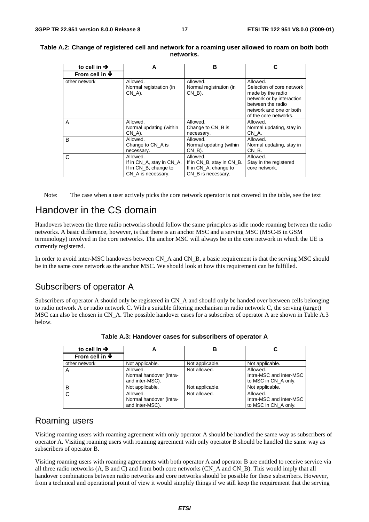| to cell in $\rightarrow$           | А                                                                                    | в                                                                                    |                                                                                                                                                                  |  |
|------------------------------------|--------------------------------------------------------------------------------------|--------------------------------------------------------------------------------------|------------------------------------------------------------------------------------------------------------------------------------------------------------------|--|
| From cell in $\blacktriangleright$ |                                                                                      |                                                                                      |                                                                                                                                                                  |  |
| other network                      | Allowed.<br>Normal registration (in<br>CN A).                                        | Allowed.<br>Normal registration (in<br>$CN$ $B$ ).                                   | Allowed.<br>Selection of core network<br>made by the radio<br>network or by interaction<br>between the radio<br>network and one or both<br>of the core networks. |  |
| A                                  | Allowed.<br>Normal updating (within<br>CN A).                                        | Allowed.<br>Change to CN B is<br>necessary.                                          | Allowed.<br>Normal updating, stay in<br>CN A.                                                                                                                    |  |
| B                                  | Allowed.<br>Change to CN A is<br>necessary.                                          | Allowed.<br>Normal updating (within<br>$CN$ B).                                      | Allowed.<br>Normal updating, stay in<br>CN B.                                                                                                                    |  |
| C                                  | Allowed.<br>If in CN_A, stay in CN_A.<br>If in CN_B, change to<br>CN A is necessary. | Allowed.<br>If in CN_B, stay in CN_B.<br>If in CN A, change to<br>CN_B is necessary. | Allowed.<br>Stay in the registered<br>core network.                                                                                                              |  |

#### **Table A.2: Change of registered cell and network for a roaming user allowed to roam on both both networks.**

Note: The case when a user actively picks the core network operator is not covered in the table, see the text

### Handover in the CS domain

Handovers between the three radio networks should follow the same principles as idle mode roaming between the radio networks. A basic difference, however, is that there is an anchor MSC and a serving MSC (MSC-B in GSM terminology) involved in the core networks. The anchor MSC will always be in the core network in which the UE is currently registered.

In order to avoid inter-MSC handovers between CN\_A and CN\_B, a basic requirement is that the serving MSC should be in the same core network as the anchor MSC. We should look at how this requirement can be fulfilled.

#### Subscribers of operator A

Subscribers of operator A should only be registered in CN A and should only be handed over between cells belonging to radio network A or radio network C. With a suitable filtering mechanism in radio network C, the serving (target) MSC can also be chosen in CN\_A. The possible handover cases for a subscriber of operator A are shown in Table A.3 below.

| to cell in $\rightarrow$           |                                                        | В               |                                                             |
|------------------------------------|--------------------------------------------------------|-----------------|-------------------------------------------------------------|
| From cell in $\blacktriangleright$ |                                                        |                 |                                                             |
| other network                      | Not applicable.                                        | Not applicable. | Not applicable.                                             |
| A                                  | Allowed.<br>Normal handover (intra-<br>and inter-MSC). | Not allowed.    | Allowed.<br>Intra-MSC and inter-MSC<br>to MSC in CN A only. |
| B                                  | Not applicable.                                        | Not applicable. | Not applicable.                                             |
| <sub>C</sub>                       | Allowed.<br>Normal handover (intra-<br>and inter-MSC). | Not allowed.    | Allowed.<br>Intra-MSC and inter-MSC<br>to MSC in CN A only. |

**Table A.3: Handover cases for subscribers of operator A** 

#### Roaming users

Visiting roaming users with roaming agreement with only operator A should be handled the same way as subscribers of operator A. Visiting roaming users with roaming agreement with only operator B should be handled the same way as subscribers of operator B.

Visiting roaming users with roaming agreements with both operator A and operator B are entitled to receive service via all three radio networks (A, B and C) and from both core networks (CN\_A and CN\_B). This would imply that all handover combinations between radio networks and core networks should be possible for these subscribers. However, from a technical and operational point of view it would simplify things if we still keep the requirement that the serving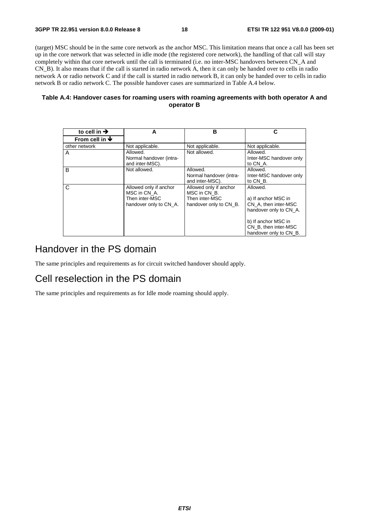(target) MSC should be in the same core network as the anchor MSC. This limitation means that once a call has been set up in the core network that was selected in idle mode (the registered core network), the handling of that call will stay completely within that core network until the call is terminated (i.e. no inter-MSC handovers between CN\_A and CN\_B). It also means that if the call is started in radio network A, then it can only be handed over to cells in radio network A or radio network C and if the call is started in radio network B, it can only be handed over to cells in radio network B or radio network C. The possible handover cases are summarized in Table A.4 below.

#### **Table A.4: Handover cases for roaming users with roaming agreements with both operator A and operator B**

| to cell in $\rightarrow$           | A                                                                                  | в                                                                                  | C                                                                                                                                                          |
|------------------------------------|------------------------------------------------------------------------------------|------------------------------------------------------------------------------------|------------------------------------------------------------------------------------------------------------------------------------------------------------|
| From cell in $\blacktriangleright$ |                                                                                    |                                                                                    |                                                                                                                                                            |
| other network                      | Not applicable.                                                                    | Not applicable.                                                                    | Not applicable.                                                                                                                                            |
| A                                  | Allowed.<br>Normal handover (intra-<br>and inter-MSC).                             | Not allowed.                                                                       | Allowed.<br>Inter-MSC handover only<br>to CN_A.                                                                                                            |
| B                                  | Not allowed.                                                                       | Allowed.<br>Normal handover (intra-<br>and inter-MSC).                             | Allowed.<br>Inter-MSC handover only<br>to CN B.                                                                                                            |
| C                                  | Allowed only if anchor<br>MSC in CN A.<br>Then inter-MSC<br>handover only to CN A. | Allowed only if anchor<br>MSC in CN B.<br>Then inter-MSC<br>handover only to CN B. | Allowed.<br>a) If anchor MSC in<br>CN A, then inter-MSC<br>handover only to CN A.<br>b) If anchor MSC in<br>CN B, then inter-MSC<br>handover only to CN B. |

#### Handover in the PS domain

The same principles and requirements as for circuit switched handover should apply.

#### Cell reselection in the PS domain

The same principles and requirements as for Idle mode roaming should apply.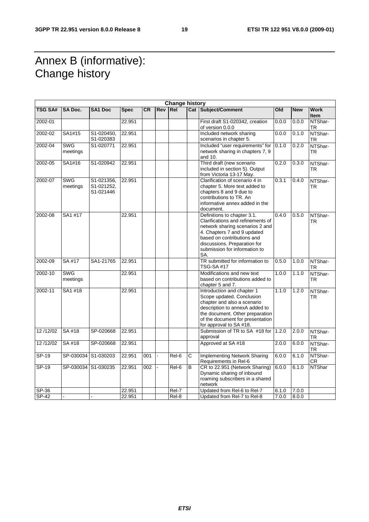### Annex B (informative): Change history

|                | <b>Change history</b>  |                                       |             |           |                      |                 |                       |                                                                                                                                                                                                                                          |       |            |                            |
|----------------|------------------------|---------------------------------------|-------------|-----------|----------------------|-----------------|-----------------------|------------------------------------------------------------------------------------------------------------------------------------------------------------------------------------------------------------------------------------------|-------|------------|----------------------------|
| <b>TSG SA#</b> | <b>SA Doc.</b>         | <b>SA1 Doc</b>                        | <b>Spec</b> | <b>CR</b> | <b>Rev</b>           | Re <sub>l</sub> |                       | <b>Cat Subject/Comment</b>                                                                                                                                                                                                               | Old   | <b>New</b> | <b>Work</b><br><b>Item</b> |
| 2002-01        |                        |                                       | 22.951      |           |                      |                 |                       | First draft S1-020342, creation<br>of version 0.0.0                                                                                                                                                                                      | 0.0.0 | 0.0.0      | NTShar-<br>TR              |
| 2002-02        | SA1#15                 | S1-020450,<br>S1-020383               | 22.951      |           |                      |                 |                       | Included network sharing<br>scenarios in chapter 5.                                                                                                                                                                                      | 0.0.0 | 0.1.0      | NTShar-<br>TR              |
| 2002-04        | <b>SWG</b><br>meetings | S1-020771                             | 22.951      |           |                      |                 |                       | Included "user requirements" for<br>network sharing in chapters 7, 9<br>and 10.                                                                                                                                                          | 0.1.0 | 0.2.0      | NTShar-<br><b>TR</b>       |
| 2002-05        | SA1#16                 | S1-020942                             | 22.951      |           |                      |                 |                       | Third draft (new scenario<br>included in section 5). Output<br>from Victoria 13-17 May.                                                                                                                                                  | 0.2.0 | 0.3.0      | NTShar-<br>TR              |
| 2002-07        | <b>SWG</b><br>meetings | S1-021356,<br>S1-021252,<br>S1-021446 | 22.951      |           |                      |                 |                       | Clarification of scenario 4 in<br>chapter 5. More text added to<br>chapters 8 and 9 due to<br>contributions to TR. An<br>informative annex added in the<br>document.                                                                     | 0.3.1 | 0.4.0      | NTShar-<br><b>TR</b>       |
| 2002-08        | SA1 #17                |                                       | 22.951      |           |                      |                 |                       | Definitions to chapter 3.1.<br>Clarifications and refinements of<br>network sharing scenarios 2 and<br>4. Chapters 7 and 9 updated<br>based on contributions and<br>discussions. Preparation for<br>submission for information to<br>SA. | 0.4.0 | 0.5.0      | NTShar-<br>TR              |
| 2002-09        | SA #17                 | SA1-21765                             | 22.951      |           |                      |                 |                       | TR submitted for information to<br>TSG-SA #17                                                                                                                                                                                            | 0.5.0 | 1.0.0      | NTShar-<br>TR              |
| 2002-10        | <b>SWG</b><br>meetings |                                       | 22.951      |           |                      |                 |                       | Modifications and new text<br>based on contributions added to<br>chapter 5 and 7.                                                                                                                                                        | 1.0.0 | 1.1.0      | NTShar-<br>TR              |
| 2002-11        | SA1 #18                |                                       | 22.951      |           |                      |                 |                       | Introduction and chapter 1<br>Scope updated. Conclusion<br>chapter and also a scenario<br>description to annexA added to<br>the document. Other preparation<br>of the document for presentation<br>for approval to SA #18.               | 1.1.0 | 1.2.0      | NTShar-<br>TR              |
| 12/12/02       | SA #18                 | SP-020668                             | 22.951      |           |                      |                 |                       | Submission of TR to SA #18 for 1.2.0<br>approval                                                                                                                                                                                         |       | 2.0.0      | NTShar-<br><b>TR</b>       |
| 12/12/02       | SA #18                 | SP-020668                             | 22.951      |           |                      |                 |                       | Approved at SA #18                                                                                                                                                                                                                       | 2.0.0 | 6.0.0      | NTShar-<br>TR              |
| $SP-19$        |                        | SP-030034 S1-030203                   | 22.951      | 001       | $\ddot{\phantom{1}}$ | Rel-6           | $\overline{\text{c}}$ | <b>Implementing Network Sharing</b><br>Requirements in Rel-6                                                                                                                                                                             | 6.0.0 | 6.1.0      | NTShar-<br><b>CR</b>       |
| $SP-19$        |                        | SP-030034 S1-030235                   | 22.951      | 002       |                      | Rel-6           | B                     | CR to 22.951 (Network Sharing)<br>Dynamic sharing of inbound<br>roaming subscribers in a shared<br>network                                                                                                                               | 6.0.0 | 6.1.0      | <b>NTShar</b>              |
| $SP-36$        |                        |                                       | 22.951      |           |                      | Rel-7           |                       | Updated from Rel-6 to Rel-7                                                                                                                                                                                                              | 6.1.0 | 7.0.0      |                            |
| SP-42          |                        |                                       | 22.951      |           |                      | Rel-8           |                       | Updated from Rel-7 to Rel-8                                                                                                                                                                                                              | 7.0.0 | 8.0.0      |                            |